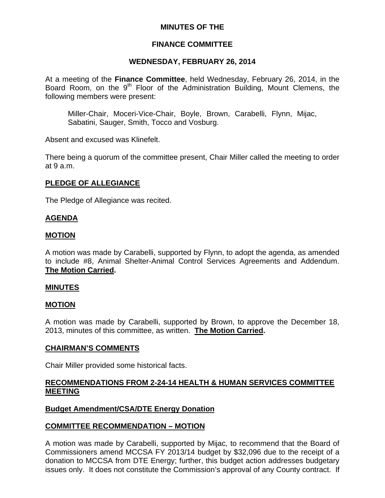# **MINUTES OF THE**

# **FINANCE COMMITTEE**

## **WEDNESDAY, FEBRUARY 26, 2014**

At a meeting of the **Finance Committee**, held Wednesday, February 26, 2014, in the Board Room, on the 9<sup>th</sup> Floor of the Administration Building, Mount Clemens, the following members were present:

Miller-Chair, Moceri-Vice-Chair, Boyle, Brown, Carabelli, Flynn, Mijac, Sabatini, Sauger, Smith, Tocco and Vosburg.

Absent and excused was Klinefelt.

There being a quorum of the committee present, Chair Miller called the meeting to order at 9 a.m.

# **PLEDGE OF ALLEGIANCE**

The Pledge of Allegiance was recited.

# **AGENDA**

## **MOTION**

A motion was made by Carabelli, supported by Flynn, to adopt the agenda, as amended to include #8, Animal Shelter-Animal Control Services Agreements and Addendum. **The Motion Carried.** 

## **MINUTES**

## **MOTION**

A motion was made by Carabelli, supported by Brown, to approve the December 18, 2013, minutes of this committee, as written. **The Motion Carried.** 

## **CHAIRMAN'S COMMENTS**

Chair Miller provided some historical facts.

# **RECOMMENDATIONS FROM 2-24-14 HEALTH & HUMAN SERVICES COMMITTEE MEETING**

# **Budget Amendment/CSA/DTE Energy Donation**

## **COMMITTEE RECOMMENDATION – MOTION**

A motion was made by Carabelli, supported by Mijac, to recommend that the Board of Commissioners amend MCCSA FY 2013/14 budget by \$32,096 due to the receipt of a donation to MCCSA from DTE Energy; further, this budget action addresses budgetary issues only. It does not constitute the Commission's approval of any County contract. If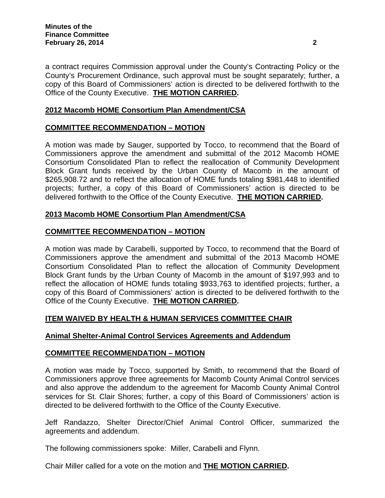a contract requires Commission approval under the County's Contracting Policy or the County's Procurement Ordinance, such approval must be sought separately; further, a copy of this Board of Commissioners' action is directed to be delivered forthwith to the Office of the County Executive. **THE MOTION CARRIED.** 

# **2012 Macomb HOME Consortium Plan Amendment/CSA**

# **COMMITTEE RECOMMENDATION – MOTION**

A motion was made by Sauger, supported by Tocco, to recommend that the Board of Commissioners approve the amendment and submittal of the 2012 Macomb HOME Consortium Consolidated Plan to reflect the reallocation of Community Development Block Grant funds received by the Urban County of Macomb in the amount of \$265,908.72 and to reflect the allocation of HOME funds totaling \$981,448 to identified projects; further, a copy of this Board of Commissioners' action is directed to be delivered forthwith to the Office of the County Executive. **THE MOTION CARRIED.** 

# **2013 Macomb HOME Consortium Plan Amendment/CSA**

# **COMMITTEE RECOMMENDATION – MOTION**

A motion was made by Carabelli, supported by Tocco, to recommend that the Board of Commissioners approve the amendment and submittal of the 2013 Macomb HOME Consortium Consolidated Plan to reflect the allocation of Community Development Block Grant funds by the Urban County of Macomb in the amount of \$197,993 and to reflect the allocation of HOME funds totaling \$933,763 to identified projects; further, a copy of this Board of Commissioners' action is directed to be delivered forthwith to the Office of the County Executive. **THE MOTION CARRIED.** 

# **ITEM WAIVED BY HEALTH & HUMAN SERVICES COMMITTEE CHAIR**

# **Animal Shelter-Animal Control Services Agreements and Addendum**

# **COMMITTEE RECOMMENDATION – MOTION**

A motion was made by Tocco, supported by Smith, to recommend that the Board of Commissioners approve three agreements for Macomb County Animal Control services and also approve the addendum to the agreement for Macomb County Animal Control services for St. Clair Shores; further, a copy of this Board of Commissioners' action is directed to be delivered forthwith to the Office of the County Executive.

Jeff Randazzo, Shelter Director/Chief Animal Control Officer, summarized the agreements and addendum.

The following commissioners spoke: Miller, Carabelli and Flynn.

Chair Miller called for a vote on the motion and **THE MOTION CARRIED.**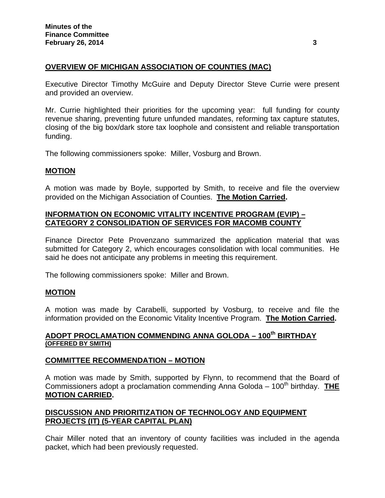# **OVERVIEW OF MICHIGAN ASSOCIATION OF COUNTIES (MAC)**

Executive Director Timothy McGuire and Deputy Director Steve Currie were present and provided an overview.

Mr. Currie highlighted their priorities for the upcoming year: full funding for county revenue sharing, preventing future unfunded mandates, reforming tax capture statutes, closing of the big box/dark store tax loophole and consistent and reliable transportation funding.

The following commissioners spoke: Miller, Vosburg and Brown.

## **MOTION**

A motion was made by Boyle, supported by Smith, to receive and file the overview provided on the Michigan Association of Counties. **The Motion Carried.**

## **INFORMATION ON ECONOMIC VITALITY INCENTIVE PROGRAM (EVIP) – CATEGORY 2 CONSOLIDATION OF SERVICES FOR MACOMB COUNTY**

Finance Director Pete Provenzano summarized the application material that was submitted for Category 2, which encourages consolidation with local communities. He said he does not anticipate any problems in meeting this requirement.

The following commissioners spoke: Miller and Brown.

## **MOTION**

A motion was made by Carabelli, supported by Vosburg, to receive and file the information provided on the Economic Vitality Incentive Program. **The Motion Carried.** 

# **ADOPT PROCLAMATION COMMENDING ANNA GOLODA – 100th BIRTHDAY (OFFERED BY SMITH)**

## **COMMITTEE RECOMMENDATION – MOTION**

A motion was made by Smith, supported by Flynn, to recommend that the Board of Commissioners adopt a proclamation commending Anna Goloda – 100<sup>th</sup> birthday. **THE MOTION CARRIED.** 

# **DISCUSSION AND PRIORITIZATION OF TECHNOLOGY AND EQUIPMENT PROJECTS (IT) (5-YEAR CAPITAL PLAN)**

Chair Miller noted that an inventory of county facilities was included in the agenda packet, which had been previously requested.